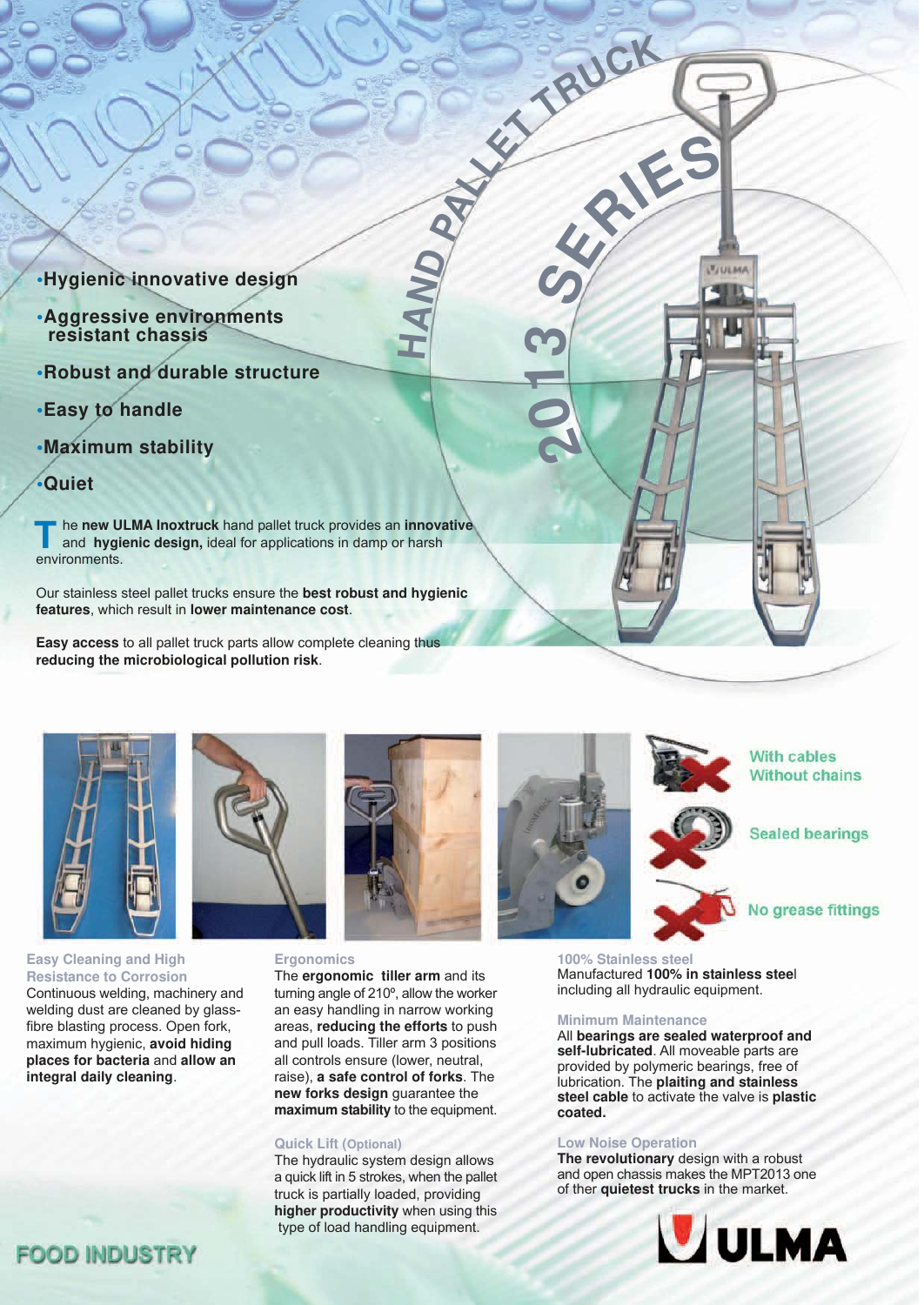- **•Hygienic innovative design**
- **•Aggressive environments resistant chassis**
- **•Robust and durable structure**
- **•Easy to handle**
- **•Maximum stability**
- **•Quiet**

he **new ULMA Inoxtruck** hand pallet truck provides an **innovative**  and **hygienic design,** ideal for applications in damp or harsh **T** he new UI<br>and hygic<br>environments.

Our stainless steel pallet trucks ensure the **best robust and hygienic features**, which result in **lower maintenance cost**.

**Easy access** to all pallet truck parts allow complete cleaning thus **reducing the microbiological pollution risk**.



**Easy Cleaning and High Resistance to Corrosion** Continuous welding, machinery and welding dust are cleaned by glassfibre blasting process. Open fork, maximum hygienic, **avoid hiding places for bacteria** and **allow an integral daily cleaning**.



## **Ergonomics**

The **ergonomic tiller arm** and its turning angle of 210º, allow the worker an easy handling in narrow working areas, **reducing the efforts** to push and pull loads. Tiller arm 3 positions all controls ensure (lower, neutral, raise), **a safe control of forks**. The **new forks design** guarantee the **maximum stability** to the equipment.

 **HAND** 

## **Quick Lift (Optional)**

The hydraulic system design allows a quick lift in 5 strokes, when the pallet truck is partially loaded, providing **higher productivity** when using this type of load handling equipment.



**PALLET TRUC<sup>K</sup>**

**S**<br>S
FEE

**2<sup>0</sup>**

**1**

**3**



**Sealed bearings** 

# No grease fittings

**100% Stainless steel** Manufactured **100% in stainless stee**l including all hydraulic equipment.

#### **Minimum Maintenance**

All **bearings are sealed waterproof and self-lubricated**. All moveable parts are provided by polymeric bearings, free of lubrication. The **plaiting and stainless steel cable** to activate the valve is **plastic coated.** 

#### **Low Noise Operation**

**The revolutionary** design with a robust and open chassis makes the MPT2013 one of ther **quietest trucks** in the market.



# **FOOD INDUSTRY**